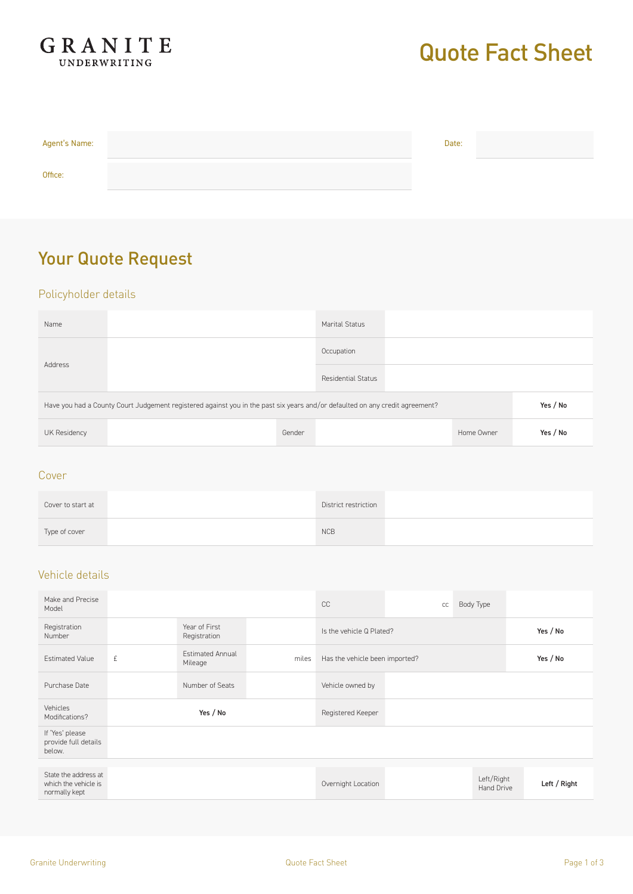

# Quote Fact Sheet

| Agent's Name: | Date: |  |
|---------------|-------|--|
| Office:       |       |  |

## Your Quote Request

### Policyholder details

| Name                                                                                                                         |  |            | <b>Marital Status</b> |  |            |          |
|------------------------------------------------------------------------------------------------------------------------------|--|------------|-----------------------|--|------------|----------|
| Address                                                                                                                      |  | Occupation |                       |  |            |          |
|                                                                                                                              |  |            |                       |  |            |          |
| Have you had a County Court Judgement registered against you in the past six years and/or defaulted on any credit agreement? |  |            |                       |  | Yes / No   |          |
| UK Residency                                                                                                                 |  | Gender     |                       |  | Home Owner | Yes / No |

#### Cover

| Cover to start at | District restriction |  |
|-------------------|----------------------|--|
| Type of cover     | <b>NCB</b>           |  |

#### Vehicle details

| Make and Precise<br>Model                                     |   |                                    |       | CC                             | cc | Body Type                |              |
|---------------------------------------------------------------|---|------------------------------------|-------|--------------------------------|----|--------------------------|--------------|
| Registration<br>Number                                        |   | Year of First<br>Registration      |       | Is the vehicle Q Plated?       |    |                          | Yes / No     |
| <b>Estimated Value</b>                                        | £ | <b>Fstimated Annual</b><br>Mileage | miles | Has the vehicle been imported? |    |                          | Yes / No     |
| Purchase Date                                                 |   | Number of Seats                    |       | Vehicle owned by               |    |                          |              |
| Vehicles<br>Modifications?                                    |   | Yes / No                           |       | Registered Keeper              |    |                          |              |
| If 'Yes' please<br>provide full details<br>below.             |   |                                    |       |                                |    |                          |              |
| State the address at<br>which the vehicle is<br>normally kept |   |                                    |       | Overnight Location             |    | Left/Right<br>Hand Drive | Left / Right |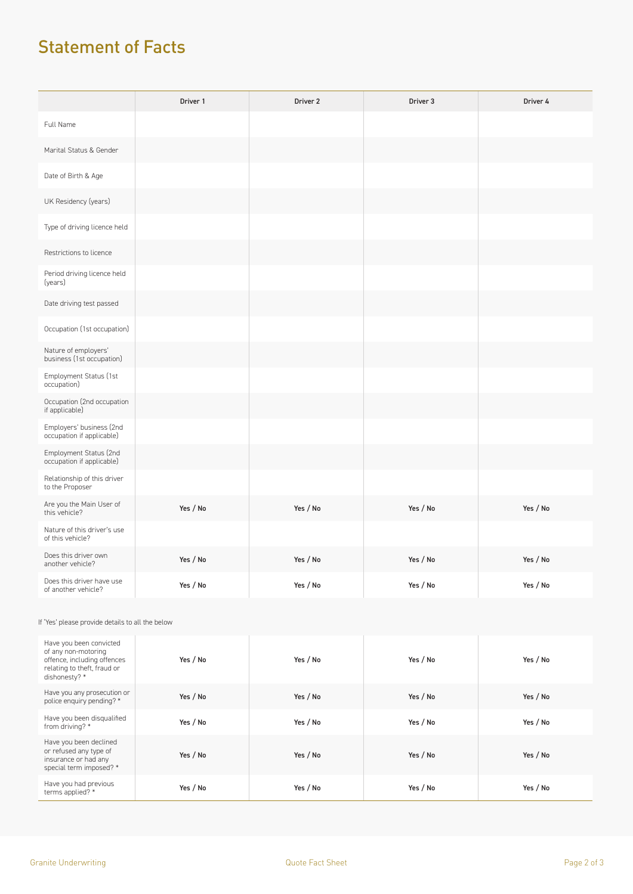## Statement of Facts

|                                                       | Driver 1 | Driver <sub>2</sub> | Driver 3 | Driver 4 |
|-------------------------------------------------------|----------|---------------------|----------|----------|
| Full Name                                             |          |                     |          |          |
| Marital Status & Gender                               |          |                     |          |          |
| Date of Birth & Age                                   |          |                     |          |          |
| UK Residency (years)                                  |          |                     |          |          |
| Type of driving licence held                          |          |                     |          |          |
| Restrictions to licence                               |          |                     |          |          |
| Period driving licence held<br>(years)                |          |                     |          |          |
| Date driving test passed                              |          |                     |          |          |
| Occupation (1st occupation)                           |          |                     |          |          |
| Nature of employers'<br>business (1st occupation)     |          |                     |          |          |
| Employment Status (1st<br>occupation)                 |          |                     |          |          |
| Occupation (2nd occupation<br>if applicable)          |          |                     |          |          |
| Employers' business (2nd<br>occupation if applicable) |          |                     |          |          |
| Employment Status (2nd<br>occupation if applicable)   |          |                     |          |          |
| Relationship of this driver<br>to the Proposer        |          |                     |          |          |
| Are you the Main User of<br>this vehicle?             | Yes / No | Yes / No            | Yes / No | Yes / No |
| Nature of this driver's use<br>of this vehicle?       |          |                     |          |          |
| Does this driver own<br>another vehicle?              | Yes / No | Yes / No            | Yes / No | Yes / No |
| Does this driver have use<br>of another vehicle?      | Yes / No | Yes / No            | Yes / No | Yes / No |

#### If 'Yes' please provide details to all the below

| Have you been convicted<br>of any non-motoring<br>offence, including offences<br>relating to theft, fraud or<br>dishonesty? * | Yes / No | Yes / No | Yes / No | Yes / No |
|-------------------------------------------------------------------------------------------------------------------------------|----------|----------|----------|----------|
| Have you any prosecution or<br>police enquiry pending? *                                                                      | Yes / No | Yes / No | Yes / No | Yes / No |
| Have you been disqualified<br>from driving? *                                                                                 | Yes / No | Yes / No | Yes / No | Yes / No |
| Have you been declined<br>or refused any type of<br>insurance or had any<br>special term imposed? *                           | Yes / No | Yes / No | Yes / No | Yes / No |
| Have you had previous<br>terms applied? *                                                                                     | Yes / No | Yes / No | Yes / No | Yes / No |